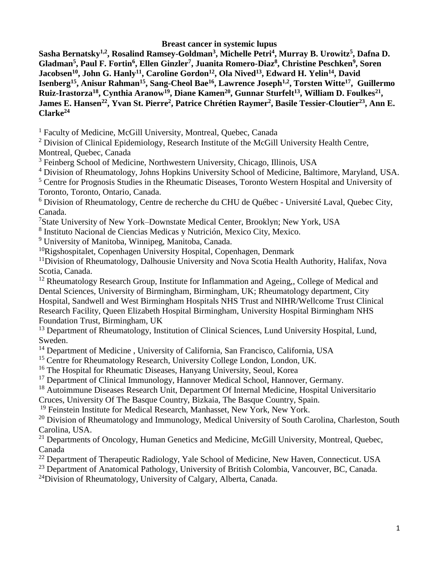## **Breast cancer in systemic lupus**

**Sasha Bernatsky1,2, Rosalind Ramsey-Goldman<sup>3</sup> , Michelle Petri<sup>4</sup> , Murray B. Urowitz<sup>5</sup> , Dafna D. Gladman<sup>5</sup> , Paul F. Fortin<sup>6</sup> , Ellen Ginzler<sup>7</sup> , Juanita Romero-Diaz<sup>8</sup> , Christine Peschken<sup>9</sup> , Soren Jacobsen<sup>10</sup> , John G. Hanly<sup>11</sup>, Caroline Gordon<sup>12</sup>, Ola Nived<sup>13</sup>, Edward H. Yelin<sup>14</sup>, David Isenberg<sup>15</sup>, Anisur Rahman<sup>15</sup> , Sang-Cheol Bae<sup>16</sup> , Lawrence Joseph1,2 , Torsten Witte<sup>17</sup> , Guillermo Ruiz-Irastorza<sup>18</sup> , Cynthia Aranow<sup>19</sup>, Diane Kamen<sup>20</sup>, Gunnar Sturfelt 13 , William D. Foulkes<sup>21</sup> , James E. Hansen<sup>22</sup> , Yvan St. Pierre<sup>2</sup> , Patrice Chrétien Raymer<sup>2</sup> , Basile Tessier-Cloutier<sup>23</sup> , Ann E. Clarke<sup>24</sup>** 

<sup>1</sup> Faculty of Medicine, McGill University, Montreal, Quebec, Canada

<sup>2</sup> Division of Clinical Epidemiology, Research Institute of the McGill University Health Centre. Montreal, Quebec, Canada

<sup>3</sup> Feinberg School of Medicine, Northwestern University, Chicago, Illinois, USA

<sup>4</sup> Division of Rheumatology, Johns Hopkins University School of Medicine, Baltimore, Maryland, USA.

<sup>5</sup> Centre for Prognosis Studies in the Rheumatic Diseases, Toronto Western Hospital and University of Toronto, Toronto, Ontario, Canada.

<sup>6</sup> Division of Rheumatology, Centre de recherche du CHU de Québec - Université Laval, Quebec City, Canada.

<sup>7</sup>State University of New York–Downstate Medical Center, Brooklyn; New York, USA

8 Instituto Nacional de Ciencias Medicas y Nutrición, Mexico City, Mexico.

<sup>9</sup> University of Manitoba, Winnipeg, Manitoba, Canada.

<sup>10</sup>Rigshospitalet, Copenhagen University Hospital, Copenhagen, Denmark

<sup>11</sup>Division of Rheumatology, Dalhousie University and Nova Scotia Health Authority, Halifax. Nova Scotia, Canada.

 $12$  Rheumatology Research Group, Institute for Inflammation and Ageing,, College of Medical and Dental Sciences, University of Birmingham, Birmingham, UK; Rheumatology department, City Hospital, Sandwell and West Birmingham Hospitals NHS Trust and NIHR/Wellcome Trust Clinical Research Facility, Queen Elizabeth Hospital Birmingham, University Hospital Birmingham NHS Foundation Trust, Birmingham, UK

<sup>13</sup> Department of Rheumatology, Institution of Clinical Sciences, Lund University Hospital, Lund, Sweden.

<sup>14</sup> Department of Medicine, University of California, San Francisco, California, USA

<sup>15</sup> Centre for Rheumatology Research, University College London, London, UK.

<sup>16</sup> The Hospital for Rheumatic Diseases, Hanyang University, Seoul, Korea

<sup>17</sup> Department of Clinical Immunology, Hannover Medical School, Hannover, Germany.

<sup>18</sup> Autoimmune Diseases Research Unit, Department Of Internal Medicine, Hospital Universitario

Cruces, University Of The Basque Country, Bizkaia, The Basque Country, Spain.

<sup>19</sup> Feinstein Institute for Medical Research, Manhasset, New York, New York.

<sup>20</sup> Division of Rheumatology and Immunology, Medical University of South Carolina, Charleston, South Carolina, USA.

<sup>21</sup> Departments of Oncology, Human Genetics and Medicine, McGill University, Montreal, Quebec, Canada

<sup>22</sup> Department of Therapeutic Radiology, Yale School of Medicine, New Haven, Connecticut. USA

<sup>23</sup> Department of Anatomical Pathology, University of British Colombia, Vancouver, BC, Canada.

<sup>24</sup>Division of Rheumatology, University of Calgary, Alberta, Canada.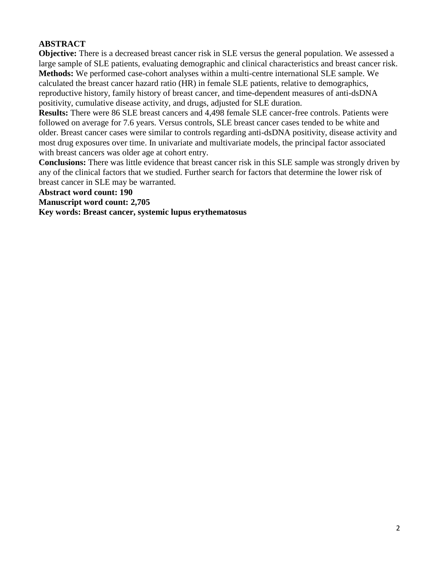# **ABSTRACT**

**Objective:** There is a decreased breast cancer risk in SLE versus the general population. We assessed a large sample of SLE patients, evaluating demographic and clinical characteristics and breast cancer risk. **Methods:** We performed case-cohort analyses within a multi-centre international SLE sample. We calculated the breast cancer hazard ratio (HR) in female SLE patients, relative to demographics, reproductive history, family history of breast cancer, and time-dependent measures of anti-dsDNA positivity, cumulative disease activity, and drugs, adjusted for SLE duration.

**Results:** There were 86 SLE breast cancers and 4,498 female SLE cancer-free controls. Patients were followed on average for 7.6 years. Versus controls, SLE breast cancer cases tended to be white and older. Breast cancer cases were similar to controls regarding anti-dsDNA positivity, disease activity and most drug exposures over time. In univariate and multivariate models, the principal factor associated with breast cancers was older age at cohort entry.

**Conclusions:** There was little evidence that breast cancer risk in this SLE sample was strongly driven by any of the clinical factors that we studied. Further search for factors that determine the lower risk of breast cancer in SLE may be warranted.

**Abstract word count: 190**

**Manuscript word count: 2,705**

**Key words: Breast cancer, systemic lupus erythematosus**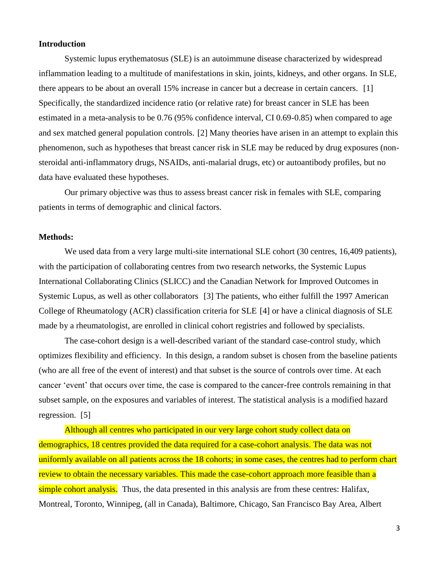### **Introduction**

Systemic lupus erythematosus (SLE) is an autoimmune disease characterized by widespread inflammation leading to a multitude of manifestations in skin, joints, kidneys, and other organs. In SLE, there appears to be about an overall 15% increase in cancer but a decrease in certain cancers. [1] Specifically, the standardized incidence ratio (or relative rate) for breast cancer in SLE has been estimated in a meta-analysis to be 0.76 (95% confidence interval, CI 0.69-0.85) when compared to age and sex matched general population controls. 2 [2] Many theories have arisen in an attempt to explain this phenomenon, such as hypotheses that breast cancer risk in SLE may be reduced by drug exposures (nonsteroidal anti-inflammatory drugs, NSAIDs, anti-malarial drugs, etc) or autoantibody profiles, but no data have evaluated these hypotheses.

Our primary objective was thus to assess breast cancer risk in females with SLE, comparing patients in terms of demographic and clinical factors.

#### **Methods:**

We used data from a very large multi-site international SLE cohort (30 centres, 16,409 patients), with the participation of collaborating centres from two research networks, the Systemic Lupus International Collaborating Clinics (SLICC) and the Canadian Network for Improved Outcomes in Systemic Lupus, as well as other collaborators [3] The patients, who either fulfill the 1997 American College of Rheumatology (ACR) classification criteria for SLE [4] or have a clinical diagnosis of SLE made by a rheumatologist, are enrolled in clinical cohort registries and followed by specialists.

The case-cohort design is a well-described variant of the standard case-control study, which optimizes flexibility and efficiency. In this design, a random subset is chosen from the baseline patients (who are all free of the event of interest) and that subset is the source of controls over time. At each cancer 'event' that occurs over time, the case is compared to the cancer-free controls remaining in that subset sample, on the exposures and variables of interest. The statistical analysis is a modified hazard regression. 5 [5]

Although all centres who participated in our very large cohort study collect data on demographics, 18 centres provided the data required for a case-cohort analysis. The data was not uniformly available on all patients across the 18 cohorts; in some cases, the centres had to perform chart review to obtain the necessary variables. This made the case-cohort approach more feasible than a simple cohort analysis. Thus, the data presented in this analysis are from these centres: Halifax, Montreal, Toronto, Winnipeg, (all in Canada), Baltimore, Chicago, San Francisco Bay Area, Albert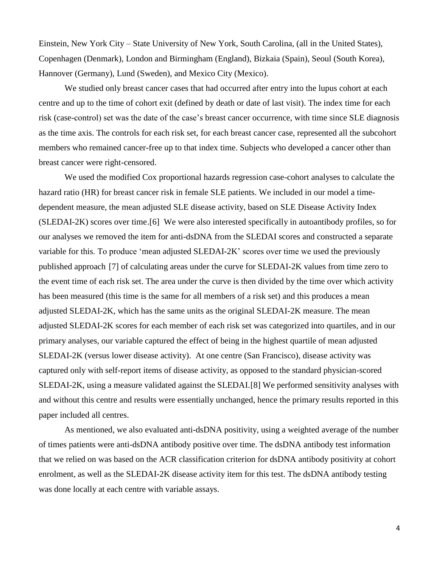Einstein, New York City – State University of New York, South Carolina, (all in the United States), Copenhagen (Denmark), London and Birmingham (England), Bizkaia (Spain), Seoul (South Korea), Hannover (Germany), Lund (Sweden), and Mexico City (Mexico).

We studied only breast cancer cases that had occurred after entry into the lupus cohort at each centre and up to the time of cohort exit (defined by death or date of last visit). The index time for each risk (case-control) set was the date of the case's breast cancer occurrence, with time since SLE diagnosis as the time axis. The controls for each risk set, for each breast cancer case, represented all the subcohort members who remained cancer-free up to that index time. Subjects who developed a cancer other than breast cancer were right-censored.

We used the modified Cox proportional hazards regression case-cohort analyses to calculate the hazard ratio (HR) for breast cancer risk in female SLE patients. We included in our model a timedependent measure, the mean adjusted SLE disease activity, based on SLE Disease Activity Index  $(SLEDAI-2K)$  scores over time.[6] We were also interested specifically in autoantibody profiles, so for our analyses we removed the item for anti-dsDNA from the SLEDAI scores and constructed a separate variable for this. To produce 'mean adjusted SLEDAI-2K' scores over time we used the previously published approach [7] of calculating areas under the curve for SLEDAI-2K values from time zero to the event time of each risk set. The area under the curve is then divided by the time over which activity has been measured (this time is the same for all members of a risk set) and this produces a mean adjusted SLEDAI-2K, which has the same units as the original SLEDAI-2K measure. The mean adjusted SLEDAI-2K scores for each member of each risk set was categorized into quartiles, and in our primary analyses, our variable captured the effect of being in the highest quartile of mean adjusted SLEDAI-2K (versus lower disease activity). At one centre (San Francisco), disease activity was captured only with self-report items of disease activity, as opposed to the standard physician-scored SLEDAI-2K, using a measure validated against the SLEDAI. [8] We performed sensitivity analyses with and without this centre and results were essentially unchanged, hence the primary results reported in this paper included all centres.

As mentioned, we also evaluated anti-dsDNA positivity, using a weighted average of the number of times patients were anti-dsDNA antibody positive over time. The dsDNA antibody test information that we relied on was based on the ACR classification criterion for dsDNA antibody positivity at cohort enrolment, as well as the SLEDAI-2K disease activity item for this test. The dsDNA antibody testing was done locally at each centre with variable assays.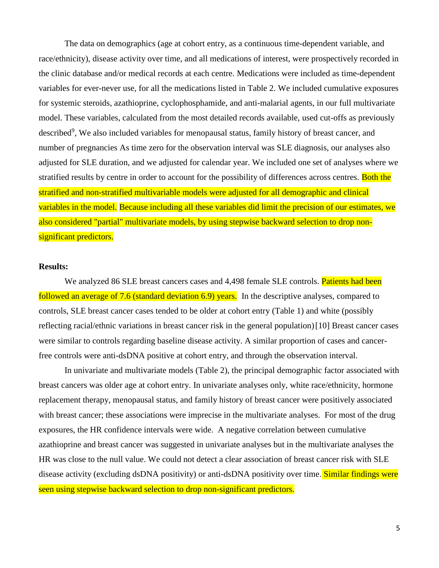The data on demographics (age at cohort entry, as a continuous time-dependent variable, and race/ethnicity), disease activity over time, and all medications of interest, were prospectively recorded in the clinic database and/or medical records at each centre. Medications were included as time-dependent variables for ever-never use, for all the medications listed in Table 2. We included cumulative exposures for systemic steroids, azathioprine, cyclophosphamide, and anti-malarial agents, in our full multivariate model. These variables, calculated from the most detailed records available, used cut-offs as previously described<sup>9</sup>, We also included variables for menopausal status, family history of breast cancer, and number of pregnancies As time zero for the observation interval was SLE diagnosis, our analyses also adjusted for SLE duration, and we adjusted for calendar year. We included one set of analyses where we stratified results by centre in order to account for the possibility of differences across centres. Both the stratified and non-stratified multivariable models were adjusted for all demographic and clinical variables in the model. Because including all these variables did limit the precision of our estimates, we also considered "partial" multivariate models, by using stepwise backward selection to drop nonsignificant predictors.

## **Results:**

We analyzed 86 SLE breast cancers cases and 4,498 female SLE controls. Patients had been followed an average of 7.6 (standard deviation 6.9) years. In the descriptive analyses, compared to controls, SLE breast cancer cases tended to be older at cohort entry (Table 1) and white (possibly reflecting racial/ethnic variations in breast cancer risk in the general population) [10] Breast cancer cases were similar to controls regarding baseline disease activity. A similar proportion of cases and cancerfree controls were anti-dsDNA positive at cohort entry, and through the observation interval.

In univariate and multivariate models (Table 2), the principal demographic factor associated with breast cancers was older age at cohort entry. In univariate analyses only, white race/ethnicity, hormone replacement therapy, menopausal status, and family history of breast cancer were positively associated with breast cancer; these associations were imprecise in the multivariate analyses. For most of the drug exposures, the HR confidence intervals were wide. A negative correlation between cumulative azathioprine and breast cancer was suggested in univariate analyses but in the multivariate analyses the HR was close to the null value. We could not detect a clear association of breast cancer risk with SLE disease activity (excluding dsDNA positivity) or anti-dsDNA positivity over time. Similar findings were seen using stepwise backward selection to drop non-significant predictors.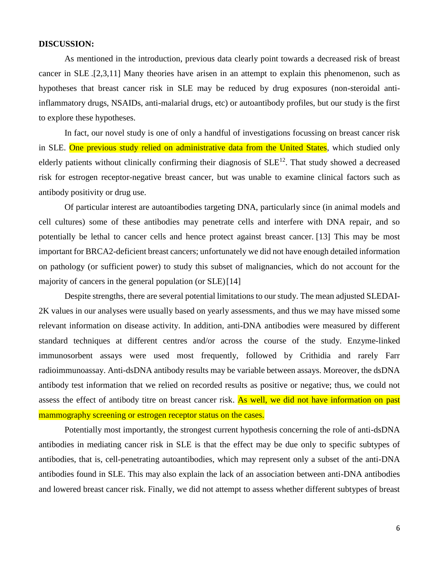### **DISCUSSION:**

As mentioned in the introduction, previous data clearly point towards a decreased risk of breast cancer in SLE<sub>-1</sub>[2,3,11] Many theories have arisen in an attempt to explain this phenomenon, such as hypotheses that breast cancer risk in SLE may be reduced by drug exposures (non-steroidal antiinflammatory drugs, NSAIDs, anti-malarial drugs, etc) or autoantibody profiles, but our study is the first to explore these hypotheses.

In fact, our novel study is one of only a handful of investigations focussing on breast cancer risk in SLE. One previous study relied on administrative data from the United States, which studied only elderly patients without clinically confirming their diagnosis of  $SLE<sup>12</sup>$ . That study showed a decreased risk for estrogen receptor-negative breast cancer, but was unable to examine clinical factors such as antibody positivity or drug use.

Of particular interest are autoantibodies targeting DNA, particularly since (in animal models and cell cultures) some of these antibodies may penetrate cells and interfere with DNA repair, and so potentially be lethal to cancer cells and hence protect against breast cancer. [13] This may be most important for BRCA2-deficient breast cancers; unfortunately we did not have enough detailed information on pathology (or sufficient power) to study this subset of malignancies, which do not account for the majority of cancers in the general population (or  $SLE$ ) [14].

Despite strengths, there are several potential limitations to our study. The mean adjusted SLEDAI-2K values in our analyses were usually based on yearly assessments, and thus we may have missed some relevant information on disease activity. In addition, anti-DNA antibodies were measured by different standard techniques at different centres and/or across the course of the study. Enzyme-linked immunosorbent assays were used most frequently, followed by Crithidia and rarely Farr radioimmunoassay. Anti-dsDNA antibody results may be variable between assays. Moreover, the dsDNA antibody test information that we relied on recorded results as positive or negative; thus, we could not assess the effect of antibody titre on breast cancer risk. As well, we did not have information on past mammography screening or estrogen receptor status on the cases.

Potentially most importantly, the strongest current hypothesis concerning the role of anti-dsDNA antibodies in mediating cancer risk in SLE is that the effect may be due only to specific subtypes of antibodies, that is, cell-penetrating autoantibodies, which may represent only a subset of the anti-DNA antibodies found in SLE. This may also explain the lack of an association between anti-DNA antibodies and lowered breast cancer risk. Finally, we did not attempt to assess whether different subtypes of breast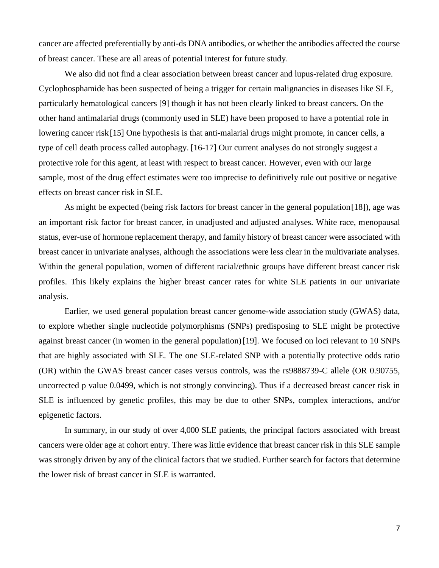cancer are affected preferentially by anti-ds DNA antibodies, or whether the antibodies affected the course of breast cancer. These are all areas of potential interest for future study.

We also did not find a clear association between breast cancer and lupus-related drug exposure. Cyclophosphamide has been suspected of being a trigger for certain malignancies in diseases like SLE, particularly hematological cancers [9] though it has not been clearly linked to breast cancers. On the other hand antimalarial drugs (commonly used in SLE) have been proposed to have a potential role in lowering cancer risk $[15]$  One hypothesis is that anti-malarial drugs might promote, in cancer cells, a type of cell death process called autophagy. [16-17] Our current analyses do not strongly suggest a protective role for this agent, at least with respect to breast cancer. However, even with our large sample, most of the drug effect estimates were too imprecise to definitively rule out positive or negative effects on breast cancer risk in SLE.

As might be expected (being risk factors for breast cancer in the general population [18]), age was an important risk factor for breast cancer, in unadjusted and adjusted analyses. White race, menopausal status, ever-use of hormone replacement therapy, and family history of breast cancer were associated with breast cancer in univariate analyses, although the associations were less clear in the multivariate analyses. Within the general population, women of different racial/ethnic groups have different breast cancer risk profiles. This likely explains the higher breast cancer rates for white SLE patients in our univariate analysis.

Earlier, we used general population breast cancer genome-wide association study (GWAS) data, to explore whether single nucleotide polymorphisms (SNPs) predisposing to SLE might be protective against breast cancer (in women in the general population)[19]. We focused on loci relevant to 10 SNPs that are highly associated with SLE. The one SLE-related SNP with a potentially protective odds ratio (OR) within the GWAS breast cancer cases versus controls, was the rs9888739-C allele (OR 0.90755, uncorrected p value 0.0499, which is not strongly convincing). Thus if a decreased breast cancer risk in SLE is influenced by genetic profiles, this may be due to other SNPs, complex interactions, and/or epigenetic factors.

In summary, in our study of over 4,000 SLE patients, the principal factors associated with breast cancers were older age at cohort entry. There was little evidence that breast cancer risk in this SLE sample was strongly driven by any of the clinical factors that we studied. Further search for factors that determine the lower risk of breast cancer in SLE is warranted.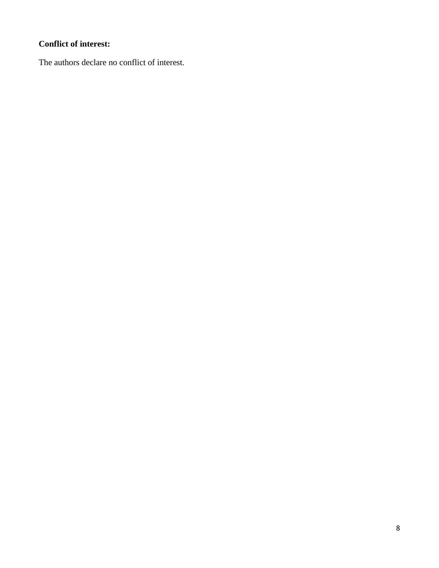# **Conflict of interest:**

The authors declare no conflict of interest.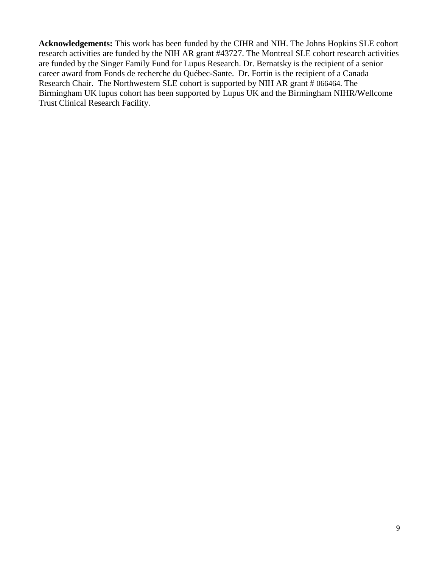**Acknowledgements:** This work has been funded by the CIHR and NIH. The Johns Hopkins SLE cohort research activities are funded by the NIH AR grant #43727. The Montreal SLE cohort research activities are funded by the Singer Family Fund for Lupus Research. Dr. Bernatsky is the recipient of a senior career award from Fonds de recherche du Québec-Sante. Dr. Fortin is the recipient of a Canada Research Chair. The Northwestern SLE cohort is supported by NIH AR grant # 066464. The Birmingham UK lupus cohort has been supported by Lupus UK and the Birmingham NIHR/Wellcome Trust Clinical Research Facility.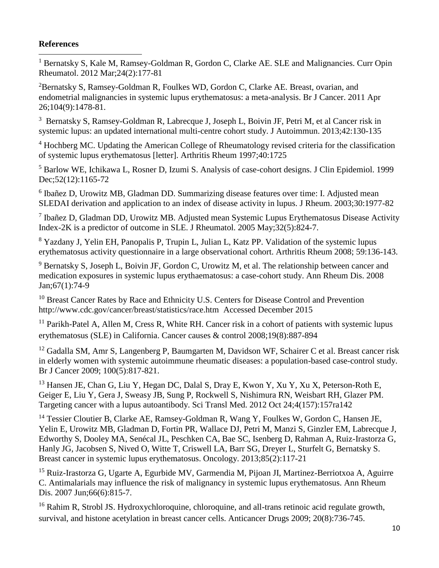## **References**

 $\overline{\phantom{a}}$ 

<sup>1</sup> Bernatsky S, Kale M, Ramsey-Goldman R, Gordon C, Clarke AE. SLE and Malignancies. Curr Opin Rheumatol. 2012 Mar;24(2):177-81

<sup>2</sup>Bernatsky S, Ramsey-Goldman R, Foulkes WD, Gordon C, Clarke AE. Breast, ovarian, and endometrial malignancies in systemic lupus erythematosus: a meta-analysis. Br J Cancer. 2011 Apr 26;104(9):1478-81.

<sup>3</sup> Bernatsky S, Ramsey-Goldman R, Labrecque J, Joseph L, Boivin JF, Petri M, et al Cancer risk in systemic lupus: an updated international multi-centre cohort study. J Autoimmun. 2013;42:130-135

<sup>4</sup> Hochberg MC. Updating the American College of Rheumatology revised criteria for the classification of systemic lupus erythematosus [letter]. Arthritis Rheum 1997;40:1725

<sup>5</sup> Barlow WE, Ichikawa L, Rosner D, Izumi S. Analysis of case-cohort designs. J Clin Epidemiol. 1999 Dec;52(12):1165-72

<sup>6</sup> Ibañez D, Urowitz MB, Gladman DD. Summarizing disease features over time: I. Adjusted mean SLEDAI derivation and application to an index of disease activity in lupus. J Rheum. 2003;30:1977-82

<sup>7</sup> Ibañez D, Gladman DD, Urowitz MB. Adjusted mean Systemic Lupus Erythematosus Disease Activity Index-2K is a predictor of outcome in SLE. J Rheumatol. 2005 May;32(5):824-7.

<sup>8</sup> Yazdany J, Yelin EH, Panopalis P, Trupin L, Julian L, Katz PP, Validation of the systemic lupus erythematosus activity questionnaire in a large observational cohort. Arthritis Rheum 2008; 59:136-143.

<sup>9</sup> Bernatsky S, Joseph L, Boivin JF, Gordon C, Urowitz M, et al. The relationship between cancer and medication exposures in systemic lupus erythaematosus: a case-cohort study. Ann Rheum Dis. 2008 Jan;67(1):74-9

<sup>10</sup> Breast Cancer Rates by Race and Ethnicity U.S. Centers for Disease Control and Prevention <http://www.cdc.gov/cancer/breast/statistics/race.htm>Accessed December 2015

<sup>11</sup> Parikh-Patel A, Allen M, Cress R, White RH. Cancer risk in a cohort of patients with systemic lupus erythematosus (SLE) in California. Cancer causes & control 2008;19(8):887-894

<sup>12</sup> Gadalla SM, Amr S, Langenberg P, Baumgarten M, Davidson WF, Schairer C et al. Breast cancer risk in elderly women with systemic autoimmune rheumatic diseases: a population-based case-control study. Br J Cancer 2009; 100(5):817-821.

<sup>13</sup> Hansen JE, Chan G, Liu Y, Hegan DC, Dalal S, Dray E, Kwon Y, Xu Y, Xu X, Peterson-Roth E, Geiger E, Liu Y, Gera J, Sweasy JB, Sung P, Rockwell S, Nishimura RN, Weisbart RH, Glazer PM. Targeting cancer with a lupus autoantibody. Sci Transl Med. 2012 Oct 24;4(157):157ra142

<sup>14</sup> Tessier Cloutier B, Clarke AE, Ramsey-Goldman R, Wang Y, Foulkes W, Gordon C, Hansen JE, Yelin E, Urowitz MB, Gladman D, Fortin PR, Wallace DJ, Petri M, Manzi S, Ginzler EM, Labrecque J, Edworthy S, Dooley MA, Senécal JL, Peschken CA, Bae SC, Isenberg D, Rahman A, Ruiz-Irastorza G, Hanly JG, Jacobsen S, Nived O, Witte T, Criswell LA, Barr SG, Dreyer L, Sturfelt G, Bernatsky S. Breast cancer in systemic lupus erythematosus. Oncology. 2013;85(2):117-21

<sup>15</sup> Ruiz-Irastorza G, Ugarte A, Egurbide MV, Garmendia M, Pijoan JI, Martinez-Berriotxoa A, Aguirre C. Antimalarials may influence the risk of malignancy in systemic lupus erythematosus. Ann Rheum Dis. 2007 Jun; 66(6): 815-7.

<sup>16</sup> Rahim R, Strobl JS. Hydroxychloroquine, chloroquine, and all-trans retinoic acid regulate growth, survival, and histone acetylation in breast cancer cells. Anticancer Drugs 2009; 20(8):736-745.